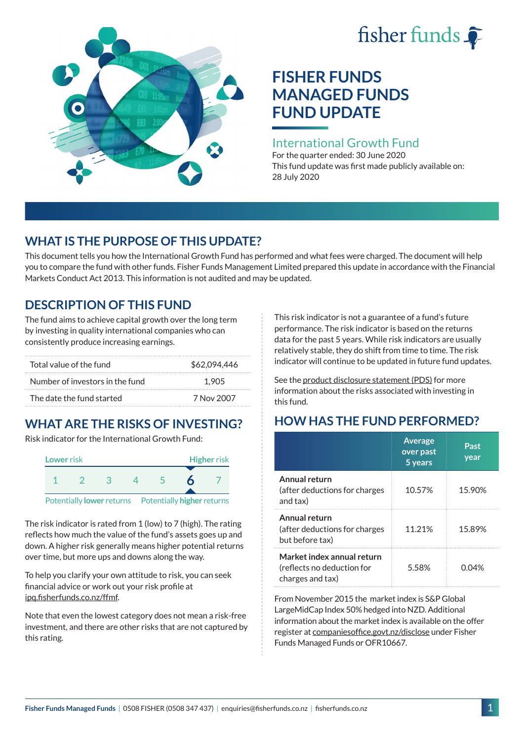# fisher funds  $\hat{\bullet}$



# **FISHER FUNDS MANAGED FUNDS FUND UPDATE**

## International Growth Fund

For the quarter ended: 30 June 2020 This fund update was first made publicly available on: 28 July 2020

# **WHAT IS THE PURPOSE OF THIS UPDATE?**

This document tells you how the International Growth Fund has performed and what fees were charged. The document will help you to compare the fund with other funds. Fisher Funds Management Limited prepared this update in accordance with the Financial Markets Conduct Act 2013. This information is not audited and may be updated.

# **DESCRIPTION OF THIS FUND**

The fund aims to achieve capital growth over the long term by investing in quality international companies who can consistently produce increasing earnings.

| Total value of the fund         | \$62,094,446 |  |  |
|---------------------------------|--------------|--|--|
| Number of investors in the fund | 1.905        |  |  |
| The date the fund started       | 7 Nov 2007   |  |  |

# **WHAT ARE THE RISKS OF INVESTING?**

Risk indicator for the International Growth Fund:



The risk indicator is rated from 1 (low) to 7 (high). The rating reflects how much the value of the fund's assets goes up and down. A higher risk generally means higher potential returns over time, but more ups and downs along the way.

To help you clarify your own attitude to risk, you can seek financial advice or work out your risk profile at [ipq.fisherfunds.co.nz/ffmf](https://ipq.fisherfunds.co.nz/ffmf).

Note that even the lowest category does not mean a risk-free investment, and there are other risks that are not captured by this rating.

This risk indicator is not a guarantee of a fund's future performance. The risk indicator is based on the returns data for the past 5 years. While risk indicators are usually relatively stable, they do shift from time to time. The risk indicator will continue to be updated in future fund updates.

See the [product disclosure statement \(PDS\)](https://fisherfunds.co.nz/assets/PDS/Fisher-Funds-Managed-Funds-PDS.pdf) for more information about the risks associated with investing in this fund.

# **HOW HAS THE FUND PERFORMED?**

|                                                                              | <b>Average</b><br>over past<br>5 years | Past<br>year |
|------------------------------------------------------------------------------|----------------------------------------|--------------|
| Annual return<br>(after deductions for charges<br>and tax)                   | 10.57%                                 | 15.90%       |
| Annual return<br>(after deductions for charges<br>but before tax)            | 11.21%                                 | 15.89%       |
| Market index annual return<br>(reflects no deduction for<br>charges and tax) | 5.58%                                  | 0.04%        |

From November 2015 the market index is S&P Global LargeMidCap Index 50% hedged into NZD. Additional information about the market index is available on the offer register at [companiesoffice.govt.nz/disclose](http://companiesoffice.govt.nz/disclose) under Fisher Funds Managed Funds or OFR10667.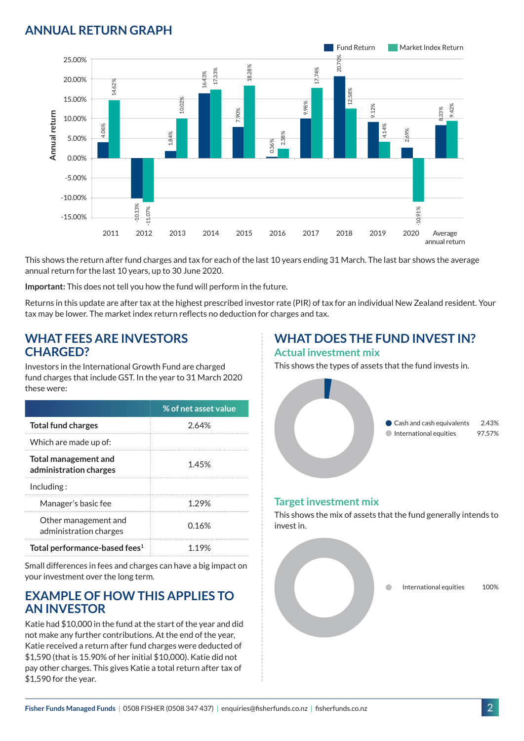## **ANNUAL RETURN GRAPH**



This shows the return after fund charges and tax for each of the last 10 years ending 31 March. The last bar shows the average annual return for the last 10 years, up to 30 June 2020.

**Important:** This does not tell you how the fund will perform in the future.

Returns in this update are after tax at the highest prescribed investor rate (PIR) of tax for an individual New Zealand resident. Your tax may be lower. The market index return reflects no deduction for charges and tax.

### **WHAT FEES ARE INVESTORS CHARGED?**

Investors in the International Growth Fund are charged fund charges that include GST. In the year to 31 March 2020 these were:

|                                                | % of net asset value |
|------------------------------------------------|----------------------|
| <b>Total fund charges</b>                      | 2.64%                |
| Which are made up of:                          |                      |
| Total management and<br>administration charges | 1.45%                |
| Inding:                                        |                      |
| Manager's basic fee                            | 1 29%                |
| Other management and<br>administration charges | 0.16%                |
| Total performance-based fees <sup>1</sup>      | 1 19%                |

Small differences in fees and charges can have a big impact on your investment over the long term.

## **EXAMPLE OF HOW THIS APPLIES TO AN INVESTOR**

Katie had \$10,000 in the fund at the start of the year and did not make any further contributions. At the end of the year, Katie received a return after fund charges were deducted of \$1,590 (that is 15.90% of her initial \$10,000). Katie did not pay other charges. This gives Katie a total return after tax of \$1,590 for the year.

# **WHAT DOES THE FUND INVEST IN?**

#### **Actual investment mix**

This shows the types of assets that the fund invests in.



#### **Target investment mix**

This shows the mix of assets that the fund generally intends to invest in.